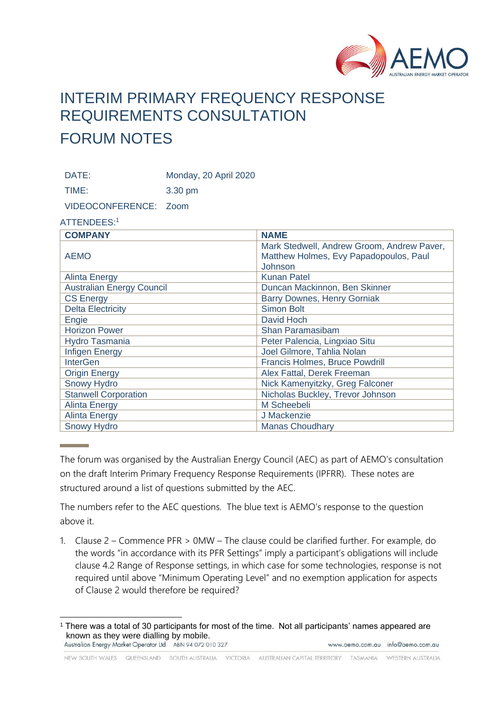

# INTERIM PRIMARY FREQUENCY RESPONSE REQUIREMENTS CONSULTATION FORUM NOTES

DATE: Monday, 20 April 2020

TIME: 3.30 pm

VIDEOCONFERENCE: Zoom

### ATTENDEES:<sup>1</sup>

| <b>COMPANY</b>                   | <b>NAME</b>                                |
|----------------------------------|--------------------------------------------|
|                                  | Mark Stedwell, Andrew Groom, Andrew Paver, |
| <b>AEMO</b>                      | Matthew Holmes, Evy Papadopoulos, Paul     |
|                                  | Johnson                                    |
| <b>Alinta Energy</b>             | <b>Kunan Patel</b>                         |
| <b>Australian Energy Council</b> | Duncan Mackinnon, Ben Skinner              |
| <b>CS Energy</b>                 | Barry Downes, Henry Gorniak                |
| <b>Delta Electricity</b>         | <b>Simon Bolt</b>                          |
| Engie                            | David Hoch                                 |
| <b>Horizon Power</b>             | Shan Paramasibam                           |
| Hydro Tasmania                   | Peter Palencia, Lingxiao Situ              |
| <b>Infigen Energy</b>            | Joel Gilmore, Tahlia Nolan                 |
| <b>InterGen</b>                  | <b>Francis Holmes, Bruce Powdrill</b>      |
| <b>Origin Energy</b>             | Alex Fattal, Derek Freeman                 |
| <b>Snowy Hydro</b>               | Nick Kamenyitzky, Greg Falconer            |
| <b>Stanwell Corporation</b>      | Nicholas Buckley, Trevor Johnson           |
| <b>Alinta Energy</b>             | M Scheebeli                                |
| <b>Alinta Energy</b>             | J Mackenzie                                |
| <b>Snowy Hydro</b>               | <b>Manas Choudhary</b>                     |

The forum was organised by the Australian Energy Council (AEC) as part of AEMO's consultation on the draft Interim Primary Frequency Response Requirements (IPFRR). These notes are structured around a list of questions submitted by the AEC.

The numbers refer to the AEC questions. The blue text is AEMO's response to the question above it.

1. Clause 2 – Commence PFR > 0MW – The clause could be clarified further. For example, do the words "in accordance with its PFR Settings" imply a participant's obligations will include clause 4.2 Range of Response settings, in which case for some technologies, response is not required until above "Minimum Operating Level" and no exemption application for aspects of Clause 2 would therefore be required?

<sup>&</sup>lt;sup>1</sup> There was a total of 30 participants for most of the time. Not all participants' names appeared are known as they were dialling by mobile.<br>Australian Energy Market Operator Ltd ABN 94 072 010 327 www.aemo.com.au info@aemo.com.au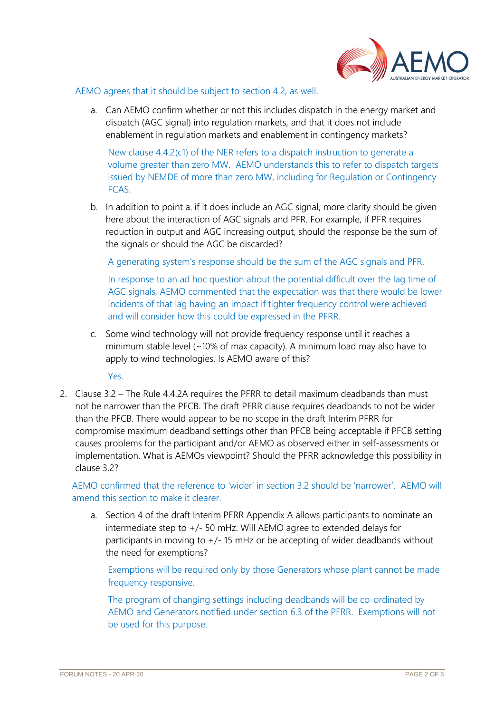

#### AEMO agrees that it should be subject to section 4.2, as well.

a. Can AEMO confirm whether or not this includes dispatch in the energy market and dispatch (AGC signal) into regulation markets, and that it does not include enablement in regulation markets and enablement in contingency markets?

New clause 4.4.2(c1) of the NER refers to a dispatch instruction to generate a volume greater than zero MW. AEMO understands this to refer to dispatch targets issued by NEMDE of more than zero MW, including for Regulation or Contingency FCAS.

b. In addition to point a. if it does include an AGC signal, more clarity should be given here about the interaction of AGC signals and PFR. For example, if PFR requires reduction in output and AGC increasing output, should the response be the sum of the signals or should the AGC be discarded?

A generating system's response should be the sum of the AGC signals and PFR.

In response to an ad hoc question about the potential difficult over the lag time of AGC signals, AEMO commented that the expectation was that there would be lower incidents of that lag having an impact if tighter frequency control were achieved and will consider how this could be expressed in the PFRR.

c. Some wind technology will not provide frequency response until it reaches a minimum stable level (~10% of max capacity). A minimum load may also have to apply to wind technologies. Is AEMO aware of this?

Yes.

2. Clause 3.2 – The Rule 4.4.2A requires the PFRR to detail maximum deadbands than must not be narrower than the PFCB. The draft PFRR clause requires deadbands to not be wider than the PFCB. There would appear to be no scope in the draft Interim PFRR for compromise maximum deadband settings other than PFCB being acceptable if PFCB setting causes problems for the participant and/or AEMO as observed either in self-assessments or implementation. What is AEMOs viewpoint? Should the PFRR acknowledge this possibility in clause 3.2?

AEMO confirmed that the reference to 'wider' in section 3.2 should be 'narrower'. AEMO will amend this section to make it clearer.

a. Section 4 of the draft Interim PFRR Appendix A allows participants to nominate an intermediate step to +/- 50 mHz. Will AEMO agree to extended delays for participants in moving to +/- 15 mHz or be accepting of wider deadbands without the need for exemptions?

Exemptions will be required only by those Generators whose plant cannot be made frequency responsive.

The program of changing settings including deadbands will be co-ordinated by AEMO and Generators notified under section 6.3 of the PFRR. Exemptions will not be used for this purpose.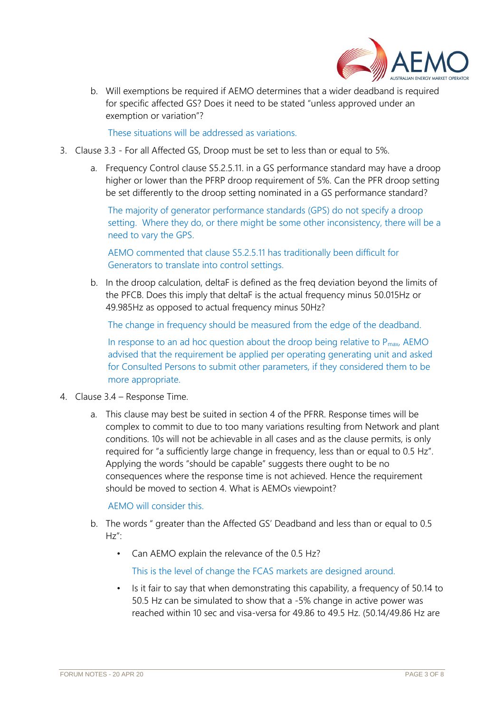

b. Will exemptions be required if AEMO determines that a wider deadband is required for specific affected GS? Does it need to be stated "unless approved under an exemption or variation"?

These situations will be addressed as variations.

- 3. Clause 3.3 For all Affected GS, Droop must be set to less than or equal to 5%.
	- a. Frequency Control clause S5.2.5.11. in a GS performance standard may have a droop higher or lower than the PFRP droop requirement of 5%. Can the PFR droop setting be set differently to the droop setting nominated in a GS performance standard?

The majority of generator performance standards (GPS) do not specify a droop setting. Where they do, or there might be some other inconsistency, there will be a need to vary the GPS.

AEMO commented that clause S5.2.5.11 has traditionally been difficult for Generators to translate into control settings.

b. In the droop calculation, deltaF is defined as the freq deviation beyond the limits of the PFCB. Does this imply that deltaF is the actual frequency minus 50.015Hz or 49.985Hz as opposed to actual frequency minus 50Hz?

The change in frequency should be measured from the edge of the deadband.

In response to an ad hoc question about the droop being relative to  $P_{\text{max}}$ , AEMO advised that the requirement be applied per operating generating unit and asked for Consulted Persons to submit other parameters, if they considered them to be more appropriate.

- 4. Clause 3.4 Response Time.
	- a. This clause may best be suited in section 4 of the PFRR. Response times will be complex to commit to due to too many variations resulting from Network and plant conditions. 10s will not be achievable in all cases and as the clause permits, is only required for "a sufficiently large change in frequency, less than or equal to 0.5 Hz". Applying the words "should be capable" suggests there ought to be no consequences where the response time is not achieved. Hence the requirement should be moved to section 4. What is AEMOs viewpoint?

AEMO will consider this.

- b. The words " greater than the Affected GS' Deadband and less than or equal to 0.5  $Hz''$ 
	- Can AEMO explain the relevance of the 0.5 Hz?

This is the level of change the FCAS markets are designed around.

• Is it fair to say that when demonstrating this capability, a frequency of 50.14 to 50.5 Hz can be simulated to show that a -5% change in active power was reached within 10 sec and visa-versa for 49.86 to 49.5 Hz. (50.14/49.86 Hz are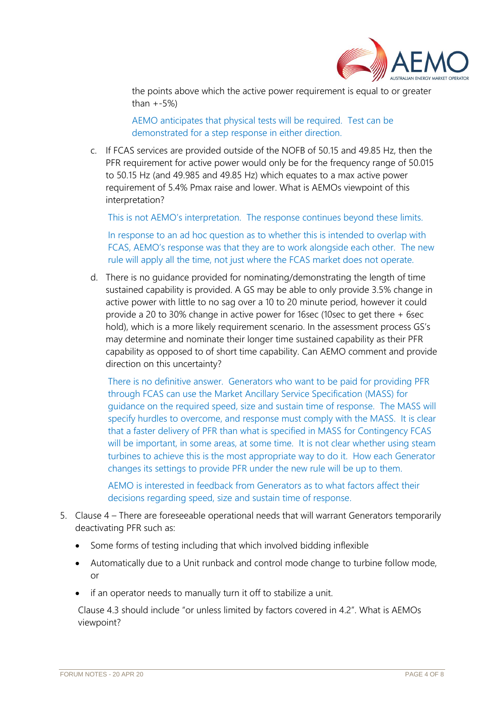

the points above which the active power requirement is equal to or greater than  $+-5\%$ )

AEMO anticipates that physical tests will be required. Test can be demonstrated for a step response in either direction.

c. If FCAS services are provided outside of the NOFB of 50.15 and 49.85 Hz, then the PFR requirement for active power would only be for the frequency range of 50.015 to 50.15 Hz (and 49.985 and 49.85 Hz) which equates to a max active power requirement of 5.4% Pmax raise and lower. What is AEMOs viewpoint of this interpretation?

This is not AEMO's interpretation. The response continues beyond these limits.

In response to an ad hoc question as to whether this is intended to overlap with FCAS, AEMO's response was that they are to work alongside each other. The new rule will apply all the time, not just where the FCAS market does not operate.

d. There is no guidance provided for nominating/demonstrating the length of time sustained capability is provided. A GS may be able to only provide 3.5% change in active power with little to no sag over a 10 to 20 minute period, however it could provide a 20 to 30% change in active power for 16sec (10sec to get there + 6sec hold), which is a more likely requirement scenario. In the assessment process GS's may determine and nominate their longer time sustained capability as their PFR capability as opposed to of short time capability. Can AEMO comment and provide direction on this uncertainty?

There is no definitive answer. Generators who want to be paid for providing PFR through FCAS can use the Market Ancillary Service Specification (MASS) for guidance on the required speed, size and sustain time of response. The MASS will specify hurdles to overcome, and response must comply with the MASS. It is clear that a faster delivery of PFR than what is specified in MASS for Contingency FCAS will be important, in some areas, at some time. It is not clear whether using steam turbines to achieve this is the most appropriate way to do it. How each Generator changes its settings to provide PFR under the new rule will be up to them.

AEMO is interested in feedback from Generators as to what factors affect their decisions regarding speed, size and sustain time of response.

- 5. Clause 4 There are foreseeable operational needs that will warrant Generators temporarily deactivating PFR such as:
	- Some forms of testing including that which involved bidding inflexible
	- Automatically due to a Unit runback and control mode change to turbine follow mode, or
	- if an operator needs to manually turn it off to stabilize a unit.

Clause 4.3 should include "or unless limited by factors covered in 4.2". What is AEMOs viewpoint?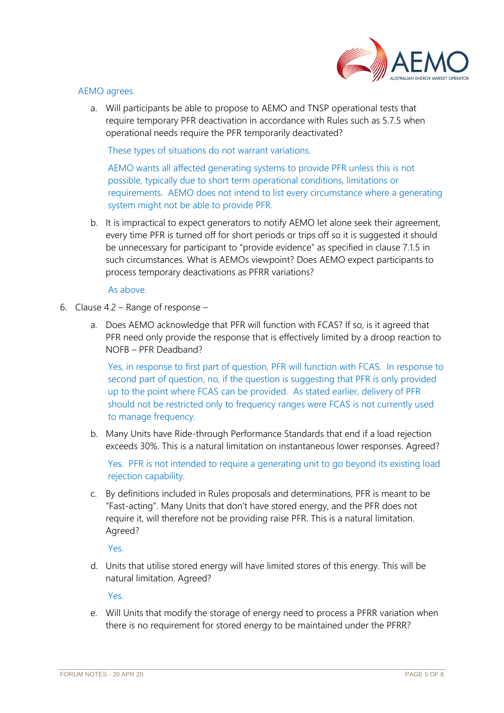

### AEMO agrees.

a. Will participants be able to propose to AEMO and TNSP operational tests that require temporary PFR deactivation in accordance with Rules such as 5.7.5 when operational needs require the PFR temporarily deactivated?

These types of situations do not warrant variations.

AEMO wants all affected generating systems to provide PFR unless this is not possible, typically due to short term operational conditions, limitations or requirements. AEMO does not intend to list every circumstance where a generating system might not be able to provide PFR.

b. It is impractical to expect generators to notify AEMO let alone seek their agreement, every time PFR is turned off for short periods or trips off so it is suggested it should be unnecessary for participant to "provide evidence" as specified in clause 7.1.5 in such circumstances. What is AEMOs viewpoint? Does AEMO expect participants to process temporary deactivations as PFRR variations?

#### As above.

- 6. Clause 4.2 Range of response
	- a. Does AEMO acknowledge that PFR will function with FCAS? If so, is it agreed that PFR need only provide the response that is effectively limited by a droop reaction to NOFB – PFR Deadband?

Yes, in response to first part of question, PFR will function with FCAS. In response to second part of question, no, if the question is suggesting that PFR is only provided up to the point where FCAS can be provided. As stated earlier, delivery of PFR should not be restricted only to frequency ranges were FCAS is not currently used to manage frequency.

b. Many Units have Ride-through Performance Standards that end if a load rejection exceeds 30%. This is a natural limitation on instantaneous lower responses. Agreed?

Yes. PFR is not intended to require a generating unit to go beyond its existing load rejection capability.

c. By definitions included in Rules proposals and determinations, PFR is meant to be "Fast-acting". Many Units that don't have stored energy, and the PFR does not require it, will therefore not be providing raise PFR. This is a natural limitation. Agreed?

Yes.

d. Units that utilise stored energy will have limited stores of this energy. This will be natural limitation. Agreed?

Yes.

e. Will Units that modify the storage of energy need to process a PFRR variation when there is no requirement for stored energy to be maintained under the PFRR?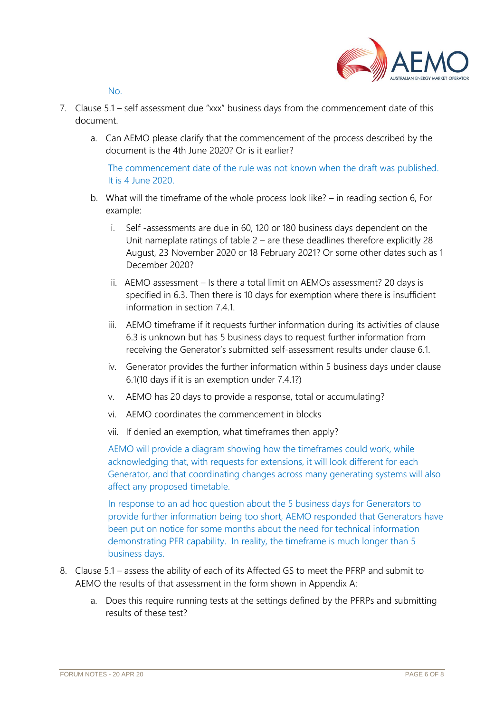

No.

- 7. Clause 5.1 self assessment due "xxx" business days from the commencement date of this document.
	- a. Can AEMO please clarify that the commencement of the process described by the document is the 4th June 2020? Or is it earlier?

The commencement date of the rule was not known when the draft was published. It is 4 June 2020.

- b. What will the timeframe of the whole process look like? in reading section 6, For example:
	- i. Self -assessments are due in 60, 120 or 180 business days dependent on the Unit nameplate ratings of table 2 – are these deadlines therefore explicitly 28 August, 23 November 2020 or 18 February 2021? Or some other dates such as 1 December 2020?
	- ii. AEMO assessment Is there a total limit on AEMOs assessment? 20 days is specified in 6.3. Then there is 10 days for exemption where there is insufficient information in section 7.4.1.
	- iii. AEMO timeframe if it requests further information during its activities of clause 6.3 is unknown but has 5 business days to request further information from receiving the Generator's submitted self-assessment results under clause 6.1.
	- iv. Generator provides the further information within 5 business days under clause 6.1(10 days if it is an exemption under 7.4.1?)
	- v. AEMO has 20 days to provide a response, total or accumulating?
	- vi. AEMO coordinates the commencement in blocks
	- vii. If denied an exemption, what timeframes then apply?

AEMO will provide a diagram showing how the timeframes could work, while acknowledging that, with requests for extensions, it will look different for each Generator, and that coordinating changes across many generating systems will also affect any proposed timetable.

In response to an ad hoc question about the 5 business days for Generators to provide further information being too short, AEMO responded that Generators have been put on notice for some months about the need for technical information demonstrating PFR capability. In reality, the timeframe is much longer than 5 business days.

- 8. Clause 5.1 assess the ability of each of its Affected GS to meet the PFRP and submit to AEMO the results of that assessment in the form shown in Appendix A:
	- a. Does this require running tests at the settings defined by the PFRPs and submitting results of these test?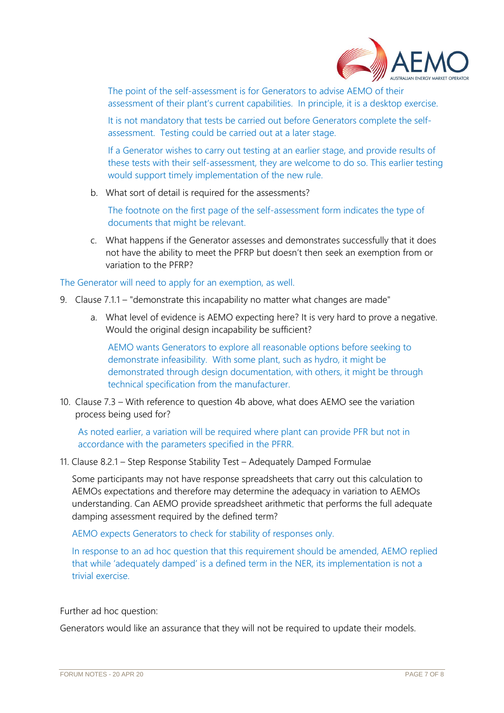

The point of the self-assessment is for Generators to advise AEMO of their assessment of their plant's current capabilities. In principle, it is a desktop exercise.

It is not mandatory that tests be carried out before Generators complete the selfassessment. Testing could be carried out at a later stage.

If a Generator wishes to carry out testing at an earlier stage, and provide results of these tests with their self-assessment, they are welcome to do so. This earlier testing would support timely implementation of the new rule.

b. What sort of detail is required for the assessments?

The footnote on the first page of the self-assessment form indicates the type of documents that might be relevant.

c. What happens if the Generator assesses and demonstrates successfully that it does not have the ability to meet the PFRP but doesn't then seek an exemption from or variation to the PFRP?

## The Generator will need to apply for an exemption, as well.

- 9. Clause 7.1.1 "demonstrate this incapability no matter what changes are made"
	- a. What level of evidence is AEMO expecting here? It is very hard to prove a negative. Would the original design incapability be sufficient?

AEMO wants Generators to explore all reasonable options before seeking to demonstrate infeasibility. With some plant, such as hydro, it might be demonstrated through design documentation, with others, it might be through technical specification from the manufacturer.

10. Clause 7.3 – With reference to question 4b above, what does AEMO see the variation process being used for?

As noted earlier, a variation will be required where plant can provide PFR but not in accordance with the parameters specified in the PFRR.

11. Clause 8.2.1 – Step Response Stability Test – Adequately Damped Formulae

Some participants may not have response spreadsheets that carry out this calculation to AEMOs expectations and therefore may determine the adequacy in variation to AEMOs understanding. Can AEMO provide spreadsheet arithmetic that performs the full adequate damping assessment required by the defined term?

AEMO expects Generators to check for stability of responses only.

In response to an ad hoc question that this requirement should be amended, AEMO replied that while 'adequately damped' is a defined term in the NER, its implementation is not a trivial exercise.

Further ad hoc question:

Generators would like an assurance that they will not be required to update their models.